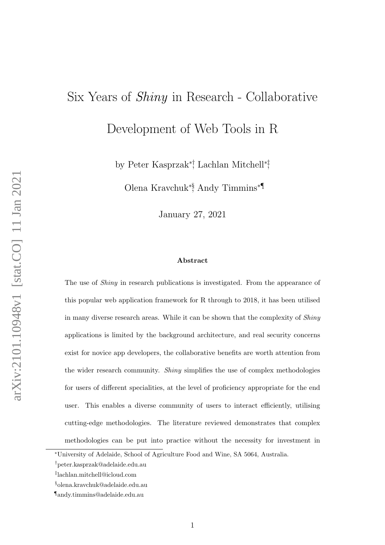# Six Years of Shiny in Research - Collaborative

Development of Web Tools in R

by Peter Kasprzak∗†, Lachlan Mitchell∗‡ ,

Olena Kravchuk∗§, Andy Timmins∗¶

January 27, 2021

#### Abstract

The use of *Shiny* in research publications is investigated. From the appearance of this popular web application framework for R through to 2018, it has been utilised in many diverse research areas. While it can be shown that the complexity of Shiny applications is limited by the background architecture, and real security concerns exist for novice app developers, the collaborative benefits are worth attention from the wider research community. Shiny simplifies the use of complex methodologies for users of different specialities, at the level of proficiency appropriate for the end user. This enables a diverse community of users to interact efficiently, utilising cutting-edge methodologies. The literature reviewed demonstrates that complex methodologies can be put into practice without the necessity for investment in

<sup>∗</sup>University of Adelaide, School of Agriculture Food and Wine, SA 5064, Australia.

<sup>†</sup>peter.kasprzak@adelaide.edu.au

<sup>‡</sup> lachlan.mitchell@icloud.com

<sup>§</sup>olena.kravchuk@adelaide.edu.au

<sup>¶</sup>andy.timmins@adelaide.edu.au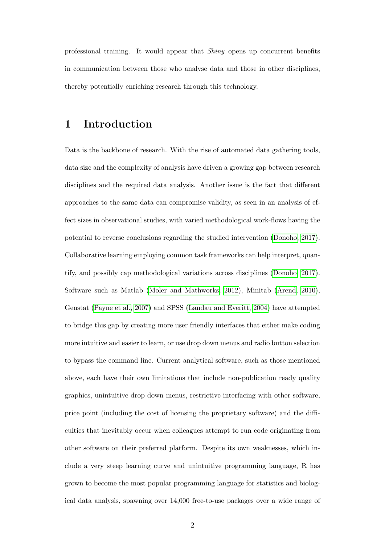professional training. It would appear that Shiny opens up concurrent benefits in communication between those who analyse data and those in other disciplines, thereby potentially enriching research through this technology.

### 1 Introduction

Data is the backbone of research. With the rise of automated data gathering tools, data size and the complexity of analysis have driven a growing gap between research disciplines and the required data analysis. Another issue is the fact that different approaches to the same data can compromise validity, as seen in an analysis of effect sizes in observational studies, with varied methodological work-flows having the potential to reverse conclusions regarding the studied intervention [\(Donoho, 2017\)](#page-31-0). Collaborative learning employing common task frameworks can help interpret, quantify, and possibly cap methodological variations across disciplines [\(Donoho, 2017\)](#page-31-0). Software such as Matlab [\(Moler and Mathworks, 2012\)](#page-34-0), Minitab [\(Arend, 2010\)](#page-29-0), Genstat [\(Payne et al., 2007\)](#page-35-0) and SPSS [\(Landau and Everitt, 2004\)](#page-33-0) have attempted to bridge this gap by creating more user friendly interfaces that either make coding more intuitive and easier to learn, or use drop down menus and radio button selection to bypass the command line. Current analytical software, such as those mentioned above, each have their own limitations that include non-publication ready quality graphics, unintuitive drop down menus, restrictive interfacing with other software, price point (including the cost of licensing the proprietary software) and the difficulties that inevitably occur when colleagues attempt to run code originating from other software on their preferred platform. Despite its own weaknesses, which include a very steep learning curve and unintuitive programming language, R has grown to become the most popular programming language for statistics and biological data analysis, spawning over 14,000 free-to-use packages over a wide range of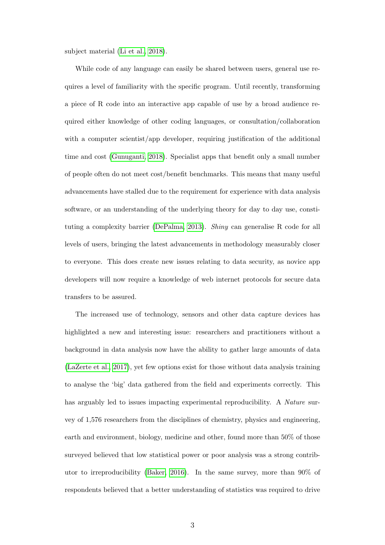subject material [\(Li et al., 2018\)](#page-34-1).

While code of any language can easily be shared between users, general use requires a level of familiarity with the specific program. Until recently, transforming a piece of R code into an interactive app capable of use by a broad audience required either knowledge of other coding languages, or consultation/collaboration with a computer scientist/app developer, requiring justification of the additional time and cost [\(Gunuganti, 2018\)](#page-32-0). Specialist apps that benefit only a small number of people often do not meet cost/benefit benchmarks. This means that many useful advancements have stalled due to the requirement for experience with data analysis software, or an understanding of the underlying theory for day to day use, constituting a complexity barrier [\(DePalma, 2013\)](#page-30-0). Shiny can generalise R code for all levels of users, bringing the latest advancements in methodology measurably closer to everyone. This does create new issues relating to data security, as novice app developers will now require a knowledge of web internet protocols for secure data transfers to be assured.

The increased use of technology, sensors and other data capture devices has highlighted a new and interesting issue: researchers and practitioners without a background in data analysis now have the ability to gather large amounts of data [\(LaZerte et al., 2017\)](#page-33-1), yet few options exist for those without data analysis training to analyse the 'big' data gathered from the field and experiments correctly. This has arguably led to issues impacting experimental reproducibility. A *Nature* survey of 1,576 researchers from the disciplines of chemistry, physics and engineering, earth and environment, biology, medicine and other, found more than 50% of those surveyed believed that low statistical power or poor analysis was a strong contributor to irreproducibility [\(Baker, 2016\)](#page-29-1). In the same survey, more than 90% of respondents believed that a better understanding of statistics was required to drive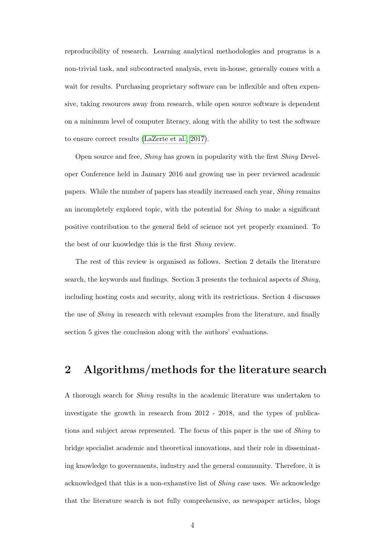reproducibility of research. Learning analytical methodologies and programs is a non-trivial task, and subcontracted analysis, even in-house, generally comes with a wait for results. Purchasing proprietary software can be inflexible and often expensive, taking resources away from research, while open source software is dependent on a minimum level of computer literacy, along with the ability to test the software to ensure correct results [\(LaZerte et al., 2017\)](#page-33-1).

Open source and free, Shiny has grown in popularity with the first Shiny Developer Conference held in January 2016 and growing use in peer reviewed academic papers. While the number of papers has steadily increased each year, Shiny remains an incompletely explored topic, with the potential for Shiny to make a significant positive contribution to the general field of science not yet properly examined. To the best of our knowledge this is the first Shiny review.

The rest of this review is organised as follows. Section 2 details the literature search, the keywords and findings. Section 3 presents the technical aspects of Shiny, including hosting costs and security, along with its restrictions. Section 4 discusses the use of Shiny in research with relevant examples from the literature, and finally section 5 gives the conclusion along with the authors' evaluations.

# 2 Algorithms/methods for the literature search

A thorough search for Shiny results in the academic literature was undertaken to investigate the growth in research from 2012 - 2018, and the types of publications and subject areas represented. The focus of this paper is the use of Shiny to bridge specialist academic and theoretical innovations, and their role in disseminating knowledge to governments, industry and the general community. Therefore, it is acknowledged that this is a non-exhaustive list of Shiny case uses. We acknowledge that the literature search is not fully comprehensive, as newspaper articles, blogs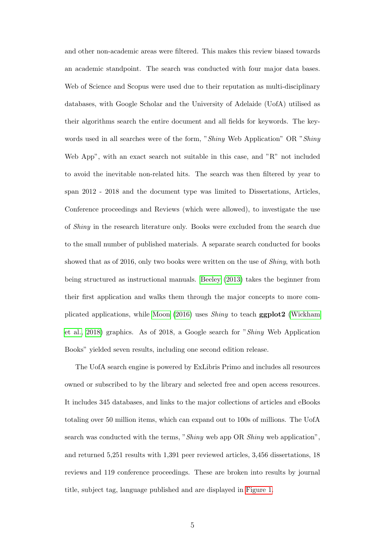and other non-academic areas were filtered. This makes this review biased towards an academic standpoint. The search was conducted with four major data bases. Web of Science and Scopus were used due to their reputation as multi-disciplinary databases, with Google Scholar and the University of Adelaide (UofA) utilised as their algorithms search the entire document and all fields for keywords. The keywords used in all searches were of the form, "Shiny Web Application" OR "Shiny Web App", with an exact search not suitable in this case, and "R" not included to avoid the inevitable non-related hits. The search was then filtered by year to span 2012 - 2018 and the document type was limited to Dissertations, Articles, Conference proceedings and Reviews (which were allowed), to investigate the use of Shiny in the research literature only. Books were excluded from the search due to the small number of published materials. A separate search conducted for books showed that as of 2016, only two books were written on the use of Shiny, with both being structured as instructional manuals. [Beeley](#page-29-2) [\(2013\)](#page-29-2) takes the beginner from their first application and walks them through the major concepts to more complicated applications, while [Moon](#page-34-2) [\(2016\)](#page-34-2) uses Shiny to teach ggplot2 [\(Wickham](#page-36-0) [et al., 2018\)](#page-36-0) graphics. As of 2018, a Google search for "Shiny Web Application Books" yielded seven results, including one second edition release.

The UofA search engine is powered by ExLibris Primo and includes all resources owned or subscribed to by the library and selected free and open access resources. It includes 345 databases, and links to the major collections of articles and eBooks totaling over 50 million items, which can expand out to 100s of millions. The UofA search was conducted with the terms, "Shiny web app OR Shiny web application", and returned 5,251 results with 1,391 peer reviewed articles, 3,456 dissertations, 18 reviews and 119 conference proceedings. These are broken into results by journal title, subject tag, language published and are displayed in [Figure 1.](#page-5-0)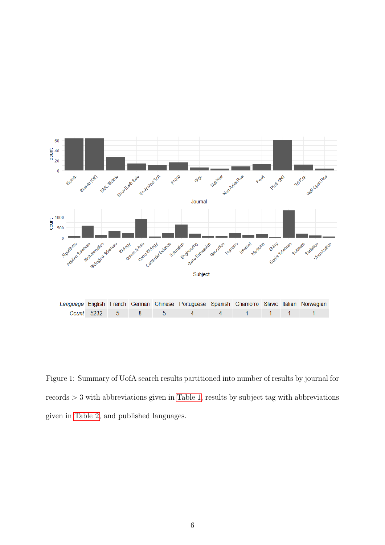

<span id="page-5-0"></span>Figure 1: Summary of UofA search results partitioned into number of results by journal for records > 3 with abbreviations given in [Table 1,](#page-38-0) results by subject tag with abbreviations given in [Table 2,](#page-39-0) and published languages.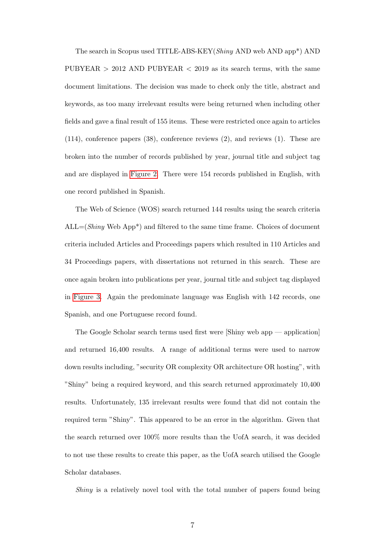The search in Scopus used TITLE-ABS-KEY(Shiny AND web AND app\*) AND PUBYEAR  $> 2012$  AND PUBYEAR  $< 2019$  as its search terms, with the same document limitations. The decision was made to check only the title, abstract and keywords, as too many irrelevant results were being returned when including other fields and gave a final result of 155 items. These were restricted once again to articles (114), conference papers (38), conference reviews (2), and reviews (1). These are broken into the number of records published by year, journal title and subject tag and are displayed in [Figure 2.](#page-7-0) There were 154 records published in English, with one record published in Spanish.

The Web of Science (WOS) search returned 144 results using the search criteria  $ALL=(Shiny Web App<sup>*</sup>)$  and filtered to the same time frame. Choices of document criteria included Articles and Proceedings papers which resulted in 110 Articles and 34 Proceedings papers, with dissertations not returned in this search. These are once again broken into publications per year, journal title and subject tag displayed in [Figure 3.](#page-8-0) Again the predominate language was English with 142 records, one Spanish, and one Portuguese record found.

The Google Scholar search terms used first were [Shiny web app — application] and returned 16,400 results. A range of additional terms were used to narrow down results including, "security OR complexity OR architecture OR hosting", with "Shiny" being a required keyword, and this search returned approximately 10,400 results. Unfortunately, 135 irrelevant results were found that did not contain the required term "Shiny". This appeared to be an error in the algorithm. Given that the search returned over 100% more results than the UofA search, it was decided to not use these results to create this paper, as the UofA search utilised the Google Scholar databases.

Shiny is a relatively novel tool with the total number of papers found being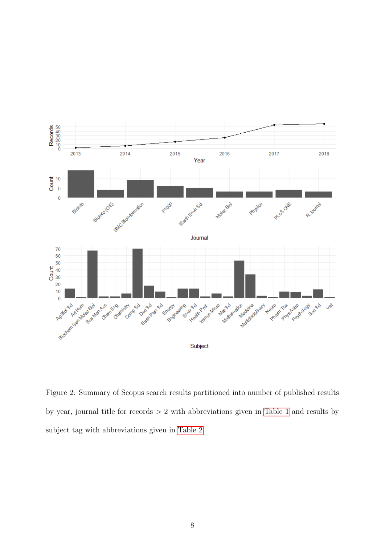

<span id="page-7-0"></span>Figure 2: Summary of Scopus search results partitioned into number of published results by year, journal title for records > 2 with abbreviations given in [Table 1](#page-38-0) and results by subject tag with abbreviations given in [Table 2.](#page-39-0)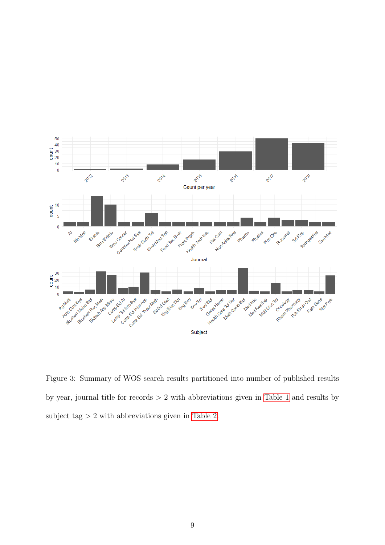

<span id="page-8-0"></span>Figure 3: Summary of WOS search results partitioned into number of published results by year, journal title for records > 2 with abbreviations given in [Table 1](#page-38-0) and results by subject tag  $> 2$  with abbreviations given in [Table 2.](#page-39-0)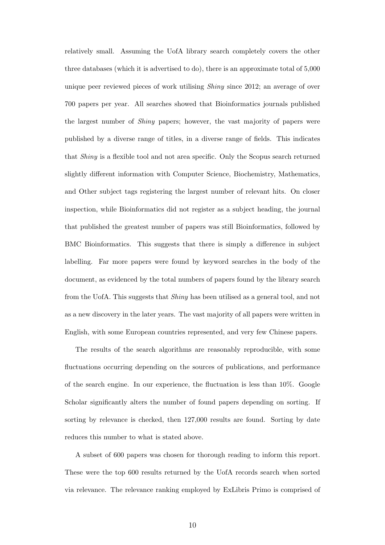relatively small. Assuming the UofA library search completely covers the other three databases (which it is advertised to do), there is an approximate total of 5,000 unique peer reviewed pieces of work utilising Shiny since 2012; an average of over 700 papers per year. All searches showed that Bioinformatics journals published the largest number of Shiny papers; however, the vast majority of papers were published by a diverse range of titles, in a diverse range of fields. This indicates that Shiny is a flexible tool and not area specific. Only the Scopus search returned slightly different information with Computer Science, Biochemistry, Mathematics, and Other subject tags registering the largest number of relevant hits. On closer inspection, while Bioinformatics did not register as a subject heading, the journal that published the greatest number of papers was still Bioinformatics, followed by BMC Bioinformatics. This suggests that there is simply a difference in subject labelling. Far more papers were found by keyword searches in the body of the document, as evidenced by the total numbers of papers found by the library search from the UofA. This suggests that Shiny has been utilised as a general tool, and not as a new discovery in the later years. The vast majority of all papers were written in English, with some European countries represented, and very few Chinese papers.

The results of the search algorithms are reasonably reproducible, with some fluctuations occurring depending on the sources of publications, and performance of the search engine. In our experience, the fluctuation is less than 10%. Google Scholar significantly alters the number of found papers depending on sorting. If sorting by relevance is checked, then  $127,000$  results are found. Sorting by date reduces this number to what is stated above.

A subset of 600 papers was chosen for thorough reading to inform this report. These were the top 600 results returned by the UofA records search when sorted via relevance. The relevance ranking employed by ExLibris Primo is comprised of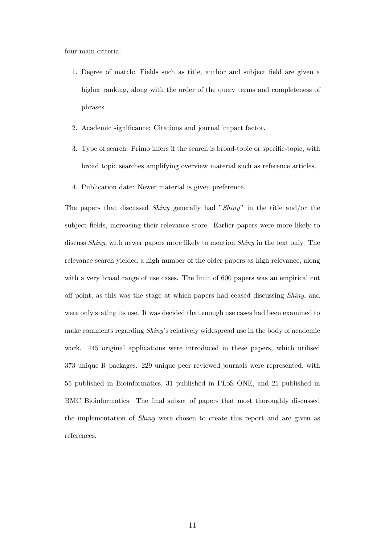four main criteria:

- 1. Degree of match: Fields such as title, author and subject field are given a higher ranking, along with the order of the query terms and completeness of phrases.
- 2. Academic significance: Citations and journal impact factor.
- 3. Type of search: Primo infers if the search is broad-topic or specific-topic, with broad topic searches amplifying overview material such as reference articles.
- 4. Publication date: Newer material is given preference.

The papers that discussed Shiny generally had "Shiny" in the title and/or the subject fields, increasing their relevance score. Earlier papers were more likely to discuss *Shiny*, with newer papers more likely to mention *Shiny* in the text only. The relevance search yielded a high number of the older papers as high relevance, along with a very broad range of use cases. The limit of 600 papers was an empirical cut off point, as this was the stage at which papers had ceased discussing Shiny, and were only stating its use. It was decided that enough use cases had been examined to make comments regarding Shiny's relatively widespread use in the body of academic work. 445 original applications were introduced in these papers, which utilised 373 unique R packages. 229 unique peer reviewed journals were represented, with 55 published in Bioinformatics, 31 published in PLoS ONE, and 21 published in BMC Bioinformatics. The final subset of papers that most thoroughly discussed the implementation of Shiny were chosen to create this report and are given as references.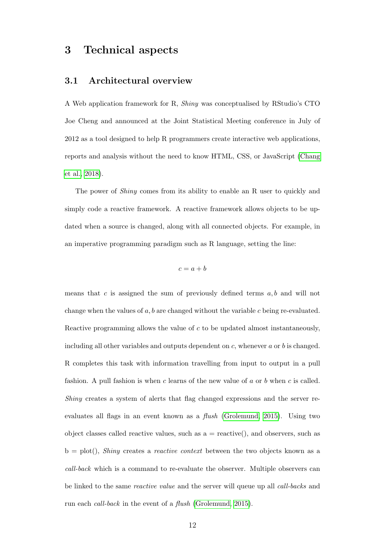### 3 Technical aspects

#### 3.1 Architectural overview

A Web application framework for R, Shiny was conceptualised by RStudio's CTO Joe Cheng and announced at the Joint Statistical Meeting conference in July of 2012 as a tool designed to help R programmers create interactive web applications, reports and analysis without the need to know HTML, CSS, or JavaScript [\(Chang](#page-30-1) [et al., 2018\)](#page-30-1).

The power of *Shiny* comes from its ability to enable an R user to quickly and simply code a reactive framework. A reactive framework allows objects to be updated when a source is changed, along with all connected objects. For example, in an imperative programming paradigm such as R language, setting the line:

$$
c = a + b
$$

means that  $c$  is assigned the sum of previously defined terms  $a, b$  and will not change when the values of  $a, b$  are changed without the variable  $c$  being re-evaluated. Reactive programming allows the value of c to be updated almost instantaneously, including all other variables and outputs dependent on  $c$ , whenever  $a$  or  $b$  is changed. R completes this task with information travelling from input to output in a pull fashion. A pull fashion is when c learns of the new value of  $a$  or  $b$  when c is called. Shiny creates a system of alerts that flag changed expressions and the server reevaluates all flags in an event known as a flush [\(Grolemund, 2015\)](#page-32-1). Using two object classes called reactive values, such as  $a =$  reactive(), and observers, such as  $b = plot($ , *Shiny* creates a *reactive context* between the two objects known as a call-back which is a command to re-evaluate the observer. Multiple observers can be linked to the same reactive value and the server will queue up all call-backs and run each call-back in the event of a flush [\(Grolemund, 2015\)](#page-32-1).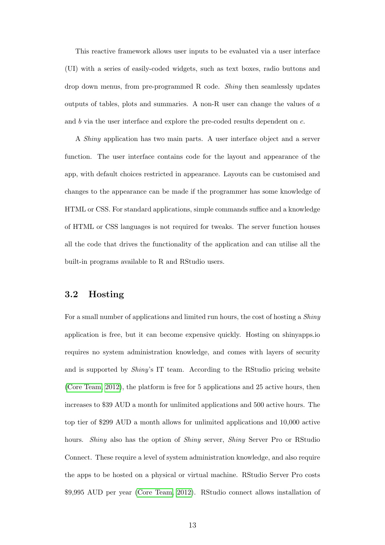This reactive framework allows user inputs to be evaluated via a user interface (UI) with a series of easily-coded widgets, such as text boxes, radio buttons and drop down menus, from pre-programmed R code. Shiny then seamlessly updates outputs of tables, plots and summaries. A non-R user can change the values of a and b via the user interface and explore the pre-coded results dependent on c.

A Shiny application has two main parts. A user interface object and a server function. The user interface contains code for the layout and appearance of the app, with default choices restricted in appearance. Layouts can be customised and changes to the appearance can be made if the programmer has some knowledge of HTML or CSS. For standard applications, simple commands suffice and a knowledge of HTML or CSS languages is not required for tweaks. The server function houses all the code that drives the functionality of the application and can utilise all the built-in programs available to R and RStudio users.

### 3.2 Hosting

For a small number of applications and limited run hours, the cost of hosting a Shiny application is free, but it can become expensive quickly. Hosting on shinyapps.io requires no system administration knowledge, and comes with layers of security and is supported by Shiny's IT team. According to the RStudio pricing website [\(Core Team, 2012\)](#page-30-2), the platform is free for 5 applications and 25 active hours, then increases to \$39 AUD a month for unlimited applications and 500 active hours. The top tier of \$299 AUD a month allows for unlimited applications and 10,000 active hours. *Shiny* also has the option of *Shiny* server, *Shiny* Server Pro or RStudio Connect. These require a level of system administration knowledge, and also require the apps to be hosted on a physical or virtual machine. RStudio Server Pro costs \$9,995 AUD per year [\(Core Team, 2012\)](#page-30-2). RStudio connect allows installation of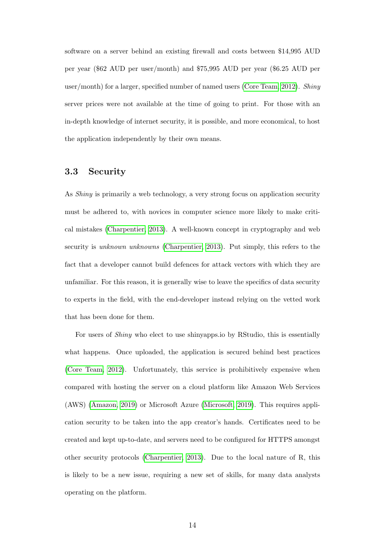software on a server behind an existing firewall and costs between \$14,995 AUD per year (\$62 AUD per user/month) and \$75,995 AUD per year (\$6.25 AUD per user/month) for a larger, specified number of named users [\(Core Team, 2012\)](#page-30-2). Shiny server prices were not available at the time of going to print. For those with an in-depth knowledge of internet security, it is possible, and more economical, to host the application independently by their own means.

#### 3.3 Security

As Shiny is primarily a web technology, a very strong focus on application security must be adhered to, with novices in computer science more likely to make critical mistakes [\(Charpentier, 2013\)](#page-30-3). A well-known concept in cryptography and web security is unknown unknowns [\(Charpentier, 2013\)](#page-30-3). Put simply, this refers to the fact that a developer cannot build defences for attack vectors with which they are unfamiliar. For this reason, it is generally wise to leave the specifics of data security to experts in the field, with the end-developer instead relying on the vetted work that has been done for them.

For users of Shiny who elect to use shinyapps.io by RStudio, this is essentially what happens. Once uploaded, the application is secured behind best practices [\(Core Team, 2012\)](#page-30-2). Unfortunately, this service is prohibitively expensive when compared with hosting the server on a cloud platform like Amazon Web Services (AWS) [\(Amazon, 2019\)](#page-29-3) or Microsoft Azure [\(Microsoft, 2019\)](#page-34-3). This requires application security to be taken into the app creator's hands. Certificates need to be created and kept up-to-date, and servers need to be configured for HTTPS amongst other security protocols [\(Charpentier, 2013\)](#page-30-3). Due to the local nature of R, this is likely to be a new issue, requiring a new set of skills, for many data analysts operating on the platform.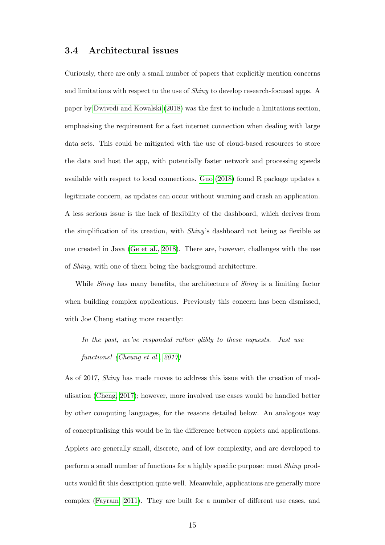#### 3.4 Architectural issues

Curiously, there are only a small number of papers that explicitly mention concerns and limitations with respect to the use of Shiny to develop research-focused apps. A paper by [Dwivedi and Kowalski](#page-31-1) [\(2018\)](#page-31-1) was the first to include a limitations section, emphasising the requirement for a fast internet connection when dealing with large data sets. This could be mitigated with the use of cloud-based resources to store the data and host the app, with potentially faster network and processing speeds available with respect to local connections. [Guo](#page-32-2) [\(2018\)](#page-32-2) found R package updates a legitimate concern, as updates can occur without warning and crash an application. A less serious issue is the lack of flexibility of the dashboard, which derives from the simplification of its creation, with Shiny's dashboard not being as flexible as one created in Java [\(Ge et al., 2018\)](#page-31-2). There are, however, challenges with the use of Shiny, with one of them being the background architecture.

While *Shiny* has many benefits, the architecture of *Shiny* is a limiting factor when building complex applications. Previously this concern has been dismissed, with Joe Cheng stating more recently:

In the past, we've responded rather glibly to these requests. Just use functions! [\(Cheung et al., 2017\)](#page-30-4)

As of 2017, Shiny has made moves to address this issue with the creation of modulisation [\(Cheng, 2017\)](#page-30-5); however, more involved use cases would be handled better by other computing languages, for the reasons detailed below. An analogous way of conceptualising this would be in the difference between applets and applications. Applets are generally small, discrete, and of low complexity, and are developed to perform a small number of functions for a highly specific purpose: most Shiny products would fit this description quite well. Meanwhile, applications are generally more complex [\(Fayram, 2011\)](#page-31-3). They are built for a number of different use cases, and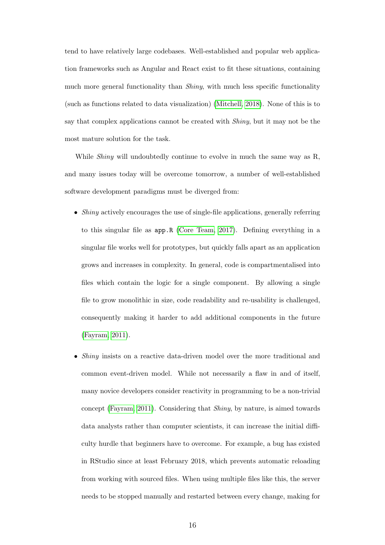tend to have relatively large codebases. Well-established and popular web application frameworks such as Angular and React exist to fit these situations, containing much more general functionality than *Shiny*, with much less specific functionality (such as functions related to data visualization) [\(Mitchell, 2018\)](#page-34-4). None of this is to say that complex applications cannot be created with Shiny, but it may not be the most mature solution for the task.

While *Shiny* will undoubtedly continue to evolve in much the same way as R, and many issues today will be overcome tomorrow, a number of well-established software development paradigms must be diverged from:

- *Shiny* actively encourages the use of single-file applications, generally referring to this singular file as app.R [\(Core Team, 2017\)](#page-30-6). Defining everything in a singular file works well for prototypes, but quickly falls apart as an application grows and increases in complexity. In general, code is compartmentalised into files which contain the logic for a single component. By allowing a single file to grow monolithic in size, code readability and re-usability is challenged, consequently making it harder to add additional components in the future [\(Fayram, 2011\)](#page-31-3).
- Shiny insists on a reactive data-driven model over the more traditional and common event-driven model. While not necessarily a flaw in and of itself, many novice developers consider reactivity in programming to be a non-trivial concept [\(Fayram, 2011\)](#page-31-3). Considering that Shiny, by nature, is aimed towards data analysts rather than computer scientists, it can increase the initial difficulty hurdle that beginners have to overcome. For example, a bug has existed in RStudio since at least February 2018, which prevents automatic reloading from working with sourced files. When using multiple files like this, the server needs to be stopped manually and restarted between every change, making for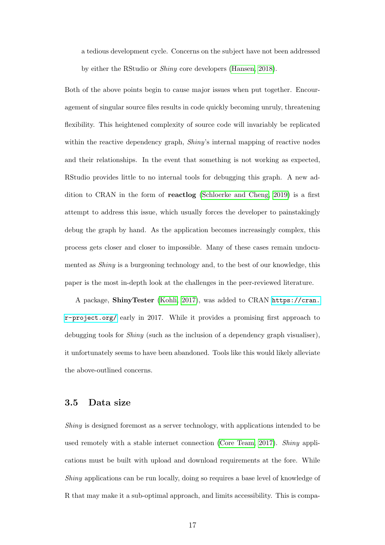a tedious development cycle. Concerns on the subject have not been addressed

by either the RStudio or Shiny core developers [\(Hansen, 2018\)](#page-32-3).

Both of the above points begin to cause major issues when put together. Encouragement of singular source files results in code quickly becoming unruly, threatening flexibility. This heightened complexity of source code will invariably be replicated within the reactive dependency graph, *Shiny's* internal mapping of reactive nodes and their relationships. In the event that something is not working as expected, RStudio provides little to no internal tools for debugging this graph. A new addition to CRAN in the form of reactlog [\(Schloerke and Cheng, 2019\)](#page-35-1) is a first attempt to address this issue, which usually forces the developer to painstakingly debug the graph by hand. As the application becomes increasingly complex, this process gets closer and closer to impossible. Many of these cases remain undocumented as Shiny is a burgeoning technology and, to the best of our knowledge, this paper is the most in-depth look at the challenges in the peer-reviewed literature.

A package, ShinyTester [\(Kohli, 2017\)](#page-33-2), was added to CRAN [https://cran.](https://cran.r-project.org/) [r-project.org/](https://cran.r-project.org/) early in 2017. While it provides a promising first approach to debugging tools for Shiny (such as the inclusion of a dependency graph visualiser), it unfortunately seems to have been abandoned. Tools like this would likely alleviate the above-outlined concerns.

#### 3.5 Data size

Shiny is designed foremost as a server technology, with applications intended to be used remotely with a stable internet connection [\(Core Team, 2017\)](#page-30-6). Shiny applications must be built with upload and download requirements at the fore. While Shiny applications can be run locally, doing so requires a base level of knowledge of R that may make it a sub-optimal approach, and limits accessibility. This is compa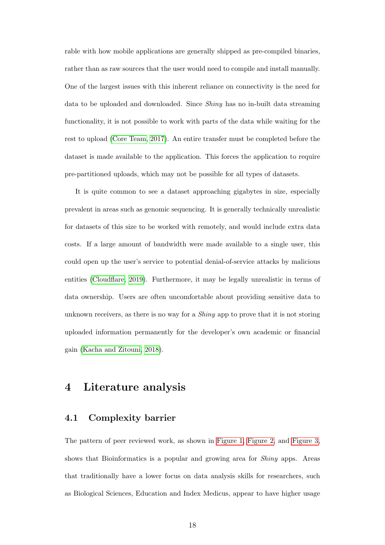rable with how mobile applications are generally shipped as pre-compiled binaries, rather than as raw sources that the user would need to compile and install manually. One of the largest issues with this inherent reliance on connectivity is the need for data to be uploaded and downloaded. Since Shiny has no in-built data streaming functionality, it is not possible to work with parts of the data while waiting for the rest to upload [\(Core Team, 2017\)](#page-30-6). An entire transfer must be completed before the dataset is made available to the application. This forces the application to require pre-partitioned uploads, which may not be possible for all types of datasets.

It is quite common to see a dataset approaching gigabytes in size, especially prevalent in areas such as genomic sequencing. It is generally technically unrealistic for datasets of this size to be worked with remotely, and would include extra data costs. If a large amount of bandwidth were made available to a single user, this could open up the user's service to potential denial-of-service attacks by malicious entities [\(Cloudflare, 2019\)](#page-30-7). Furthermore, it may be legally unrealistic in terms of data ownership. Users are often uncomfortable about providing sensitive data to unknown receivers, as there is no way for a *Shiny* app to prove that it is not storing uploaded information permanently for the developer's own academic or financial gain [\(Kacha and Zitouni, 2018\)](#page-33-3).

# 4 Literature analysis

#### 4.1 Complexity barrier

The pattern of peer reviewed work, as shown in [Figure 1,](#page-5-0) [Figure 2,](#page-7-0) and [Figure 3,](#page-8-0) shows that Bioinformatics is a popular and growing area for Shiny apps. Areas that traditionally have a lower focus on data analysis skills for researchers, such as Biological Sciences, Education and Index Medicus, appear to have higher usage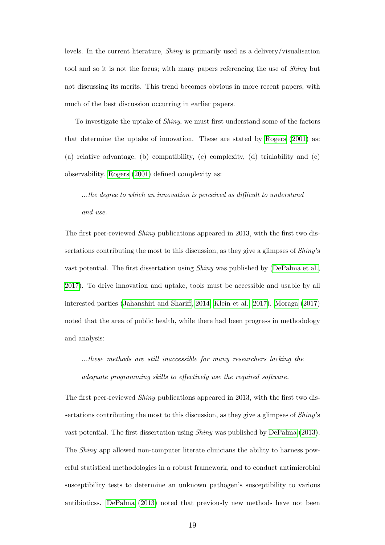levels. In the current literature, Shiny is primarily used as a delivery/visualisation tool and so it is not the focus; with many papers referencing the use of *Shiny* but not discussing its merits. This trend becomes obvious in more recent papers, with much of the best discussion occurring in earlier papers.

To investigate the uptake of Shiny, we must first understand some of the factors that determine the uptake of innovation. These are stated by [Rogers](#page-35-2) [\(2001\)](#page-35-2) as: (a) relative advantage, (b) compatibility, (c) complexity, (d) trialability and (e) observability. [Rogers](#page-35-2) [\(2001\)](#page-35-2) defined complexity as:

...the degree to which an innovation is perceived as difficult to understand and use.

The first peer-reviewed Shiny publications appeared in 2013, with the first two dissertations contributing the most to this discussion, as they give a glimpses of Shiny's vast potential. The first dissertation using Shiny was published by [\(DePalma et al.,](#page-31-4) [2017\)](#page-31-4). To drive innovation and uptake, tools must be accessible and usable by all interested parties [\(Jahanshiri and Shariff, 2014,](#page-32-4) [Klein et al., 2017\)](#page-33-4). [Moraga](#page-34-5) [\(2017\)](#page-34-5) noted that the area of public health, while there had been progress in methodology and analysis:

...these methods are still inaccessible for many researchers lacking the adequate programming skills to effectively use the required software.

The first peer-reviewed Shiny publications appeared in 2013, with the first two dissertations contributing the most to this discussion, as they give a glimpses of Shiny's vast potential. The first dissertation using Shiny was published by [DePalma](#page-30-0) [\(2013\)](#page-30-0). The *Shiny* app allowed non-computer literate clinicians the ability to harness powerful statistical methodologies in a robust framework, and to conduct antimicrobial susceptibility tests to determine an unknown pathogen's susceptibility to various antibioticss. [DePalma](#page-30-0) [\(2013\)](#page-30-0) noted that previously new methods have not been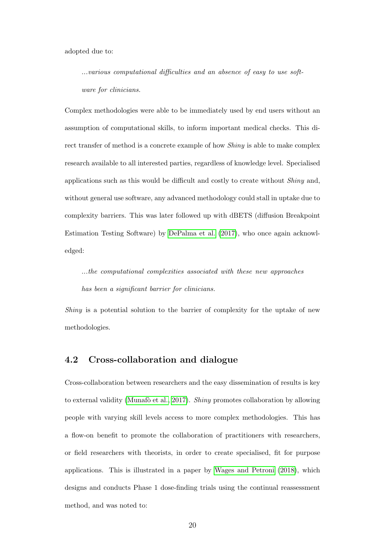adopted due to:

...various computational difficulties and an absence of easy to use software for clinicians.

Complex methodologies were able to be immediately used by end users without an assumption of computational skills, to inform important medical checks. This direct transfer of method is a concrete example of how Shiny is able to make complex research available to all interested parties, regardless of knowledge level. Specialised applications such as this would be difficult and costly to create without Shiny and, without general use software, any advanced methodology could stall in uptake due to complexity barriers. This was later followed up with dBETS (diffusion Breakpoint Estimation Testing Software) by [DePalma et al.](#page-31-4) [\(2017\)](#page-31-4), who once again acknowledged:

...the computational complexities associated with these new approaches has been a significant barrier for clinicians.

Shiny is a potential solution to the barrier of complexity for the uptake of new methodologies.

#### 4.2 Cross-collaboration and dialogue

Cross-collaboration between researchers and the easy dissemination of results is key to external validity (Munafo et al., 2017). Shiny promotes collaboration by allowing people with varying skill levels access to more complex methodologies. This has a flow-on benefit to promote the collaboration of practitioners with researchers, or field researchers with theorists, in order to create specialised, fit for purpose applications. This is illustrated in a paper by [Wages and Petroni](#page-35-3) [\(2018\)](#page-35-3), which designs and conducts Phase 1 dose-finding trials using the continual reassessment method, and was noted to: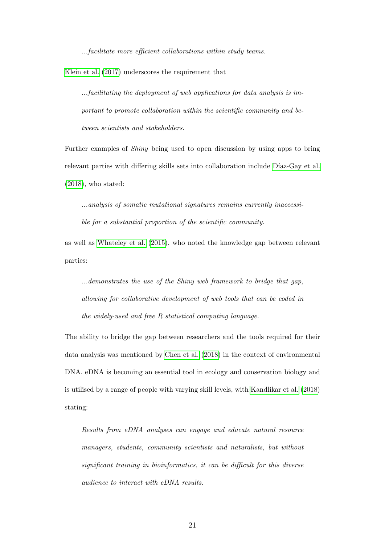...facilitate more efficient collaborations within study teams.

[Klein et al.](#page-33-4) [\(2017\)](#page-33-4) underscores the requirement that

...facilitating the deployment of web applications for data analysis is important to promote collaboration within the scientific community and between scientists and stakeholders.

Further examples of Shiny being used to open discussion by using apps to bring relevant parties with differing skills sets into collaboration include Díaz-Gay et al.  $(2018)$ , who stated:

...analysis of somatic mutational signatures remains currently inaccessible for a substantial proportion of the scientific community.

as well as [Whateley et al.](#page-35-4) [\(2015\)](#page-35-4), who noted the knowledge gap between relevant parties:

...demonstrates the use of the Shiny web framework to bridge that gap, allowing for collaborative development of web tools that can be coded in the widely-used and free R statistical computing language.

The ability to bridge the gap between researchers and the tools required for their data analysis was mentioned by [Chen et al.](#page-30-8) [\(2018\)](#page-30-8) in the context of environmental DNA. eDNA is becoming an essential tool in ecology and conservation biology and is utilised by a range of people with varying skill levels, with [Kandlikar et al.](#page-33-5) [\(2018\)](#page-33-5) stating:

Results from eDNA analyses can engage and educate natural resource managers, students, community scientists and naturalists, but without significant training in bioinformatics, it can be difficult for this diverse audience to interact with eDNA results.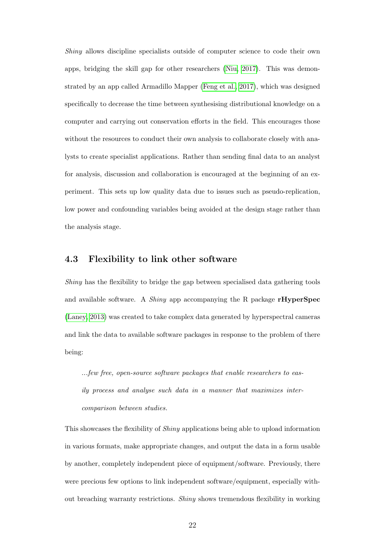Shiny allows discipline specialists outside of computer science to code their own apps, bridging the skill gap for other researchers [\(Niu, 2017\)](#page-35-5). This was demonstrated by an app called Armadillo Mapper [\(Feng et al., 2017\)](#page-31-6), which was designed specifically to decrease the time between synthesising distributional knowledge on a computer and carrying out conservation efforts in the field. This encourages those without the resources to conduct their own analysis to collaborate closely with analysts to create specialist applications. Rather than sending final data to an analyst for analysis, discussion and collaboration is encouraged at the beginning of an experiment. This sets up low quality data due to issues such as pseudo-replication, low power and confounding variables being avoided at the design stage rather than the analysis stage.

#### 4.3 Flexibility to link other software

Shiny has the flexibility to bridge the gap between specialised data gathering tools and available software. A Shiny app accompanying the R package rHyperSpec [\(Laney, 2013\)](#page-33-6) was created to take complex data generated by hyperspectral cameras and link the data to available software packages in response to the problem of there being:

...few free, open-source software packages that enable researchers to easily process and analyse such data in a manner that maximizes intercomparison between studies.

This showcases the flexibility of Shiny applications being able to upload information in various formats, make appropriate changes, and output the data in a form usable by another, completely independent piece of equipment/software. Previously, there were precious few options to link independent software/equipment, especially without breaching warranty restrictions. Shiny shows tremendous flexibility in working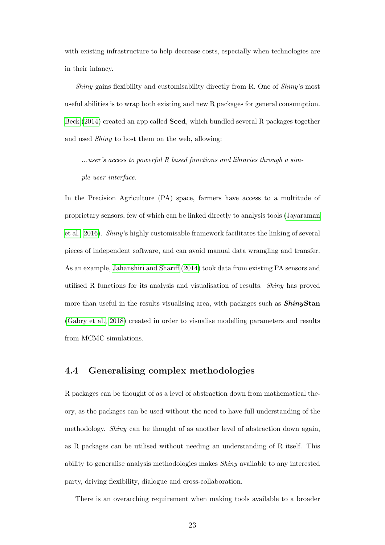with existing infrastructure to help decrease costs, especially when technologies are in their infancy.

Shiny gains flexibility and customisability directly from R. One of Shiny's most useful abilities is to wrap both existing and new R packages for general consumption. [Beck](#page-29-4) [\(2014\)](#page-29-4) created an app called Seed, which bundled several R packages together and used Shiny to host them on the web, allowing:

...user's access to powerful R based functions and libraries through a simple user interface.

In the Precision Agriculture (PA) space, farmers have access to a multitude of proprietary sensors, few of which can be linked directly to analysis tools [\(Jayaraman](#page-32-5) [et al., 2016\)](#page-32-5). Shiny's highly customisable framework facilitates the linking of several pieces of independent software, and can avoid manual data wrangling and transfer. As an example, [Jahanshiri and Shariff](#page-32-4) [\(2014\)](#page-32-4) took data from existing PA sensors and utilised R functions for its analysis and visualisation of results. Shiny has proved more than useful in the results visualising area, with packages such as **ShinyStan** [\(Gabry et al., 2018\)](#page-31-7) created in order to visualise modelling parameters and results from MCMC simulations.

### 4.4 Generalising complex methodologies

R packages can be thought of as a level of abstraction down from mathematical theory, as the packages can be used without the need to have full understanding of the methodology. Shiny can be thought of as another level of abstraction down again, as R packages can be utilised without needing an understanding of R itself. This ability to generalise analysis methodologies makes Shiny available to any interested party, driving flexibility, dialogue and cross-collaboration.

There is an overarching requirement when making tools available to a broader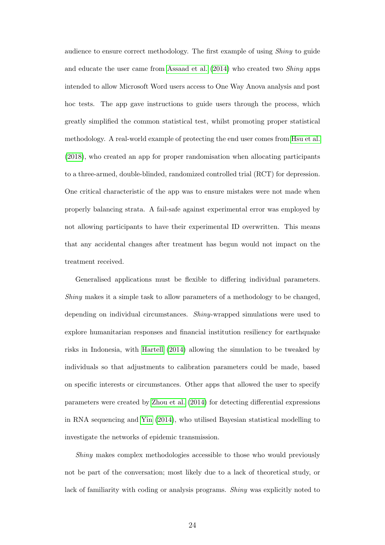audience to ensure correct methodology. The first example of using Shiny to guide and educate the user came from [Assaad et al.](#page-29-5) [\(2014\)](#page-29-5) who created two Shiny apps intended to allow Microsoft Word users access to One Way Anova analysis and post hoc tests. The app gave instructions to guide users through the process, which greatly simplified the common statistical test, whilst promoting proper statistical methodology. A real-world example of protecting the end user comes from [Hsu et al.](#page-32-6) [\(2018\)](#page-32-6), who created an app for proper randomisation when allocating participants to a three-armed, double-blinded, randomized controlled trial (RCT) for depression. One critical characteristic of the app was to ensure mistakes were not made when properly balancing strata. A fail-safe against experimental error was employed by not allowing participants to have their experimental ID overwritten. This means that any accidental changes after treatment has begun would not impact on the treatment received.

Generalised applications must be flexible to differing individual parameters. Shiny makes it a simple task to allow parameters of a methodology to be changed, depending on individual circumstances. Shiny-wrapped simulations were used to explore humanitarian responses and financial institution resiliency for earthquake risks in Indonesia, with [Hartell](#page-32-7) [\(2014\)](#page-32-7) allowing the simulation to be tweaked by individuals so that adjustments to calibration parameters could be made, based on specific interests or circumstances. Other apps that allowed the user to specify parameters were created by [Zhou et al.](#page-36-1) [\(2014\)](#page-36-1) for detecting differential expressions in RNA sequencing and [Yin](#page-36-2) [\(2014\)](#page-36-2), who utilised Bayesian statistical modelling to investigate the networks of epidemic transmission.

Shiny makes complex methodologies accessible to those who would previously not be part of the conversation; most likely due to a lack of theoretical study, or lack of familiarity with coding or analysis programs. Shiny was explicitly noted to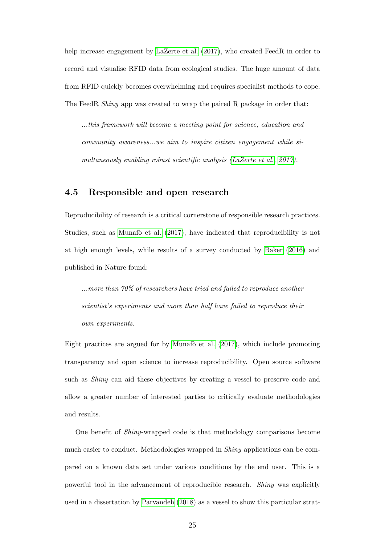help increase engagement by [LaZerte et al.](#page-33-1)  $(2017)$ , who created FeedR in order to record and visualise RFID data from ecological studies. The huge amount of data from RFID quickly becomes overwhelming and requires specialist methods to cope. The FeedR Shiny app was created to wrap the paired R package in order that:

...this framework will become a meeting point for science, education and community awareness...we aim to inspire citizen engagement while simultaneously enabling robust scientific analysis [\(LaZerte et al., 2017\)](#page-33-1).

#### 4.5 Responsible and open research

Reproducibility of research is a critical cornerstone of responsible research practices. Studies, such as Munafò et al. [\(2017\)](#page-34-6), have indicated that reproducibility is not at high enough levels, while results of a survey conducted by [Baker](#page-29-1) [\(2016\)](#page-29-1) and published in Nature found:

...more than 70% of researchers have tried and failed to reproduce another scientist's experiments and more than half have failed to reproduce their own experiments.

Eight practices are argued for by Munafo et al.  $(2017)$ , which include promoting transparency and open science to increase reproducibility. Open source software such as *Shiny* can aid these objectives by creating a vessel to preserve code and allow a greater number of interested parties to critically evaluate methodologies and results.

One benefit of Shiny-wrapped code is that methodology comparisons become much easier to conduct. Methodologies wrapped in Shiny applications can be compared on a known data set under various conditions by the end user. This is a powerful tool in the advancement of reproducible research. Shiny was explicitly used in a dissertation by [Parvandeh](#page-35-6) [\(2018\)](#page-35-6) as a vessel to show this particular strat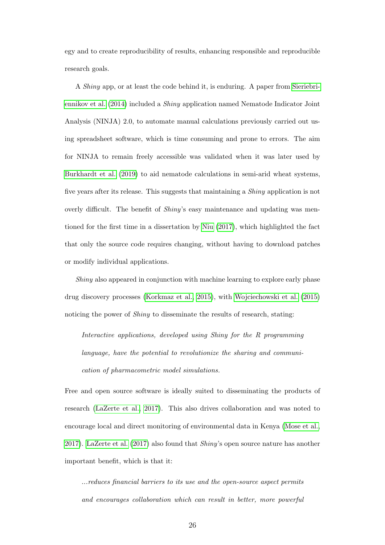egy and to create reproducibility of results, enhancing responsible and reproducible research goals.

A Shiny app, or at least the code behind it, is enduring. A paper from [Sieriebri](#page-35-7)[ennikov et al.](#page-35-7) [\(2014\)](#page-35-7) included a Shiny application named Nematode Indicator Joint Analysis (NINJA) 2.0, to automate manual calculations previously carried out using spreadsheet software, which is time consuming and prone to errors. The aim for NINJA to remain freely accessible was validated when it was later used by [Burkhardt et al.](#page-29-6) [\(2019\)](#page-29-6) to aid nematode calculations in semi-arid wheat systems, five years after its release. This suggests that maintaining a Shiny application is not overly difficult. The benefit of *Shiny's* easy maintenance and updating was mentioned for the first time in a dissertation by [Niu](#page-35-5) [\(2017\)](#page-35-5), which highlighted the fact that only the source code requires changing, without having to download patches or modify individual applications.

Shiny also appeared in conjunction with machine learning to explore early phase drug discovery processes [\(Korkmaz et al., 2015\)](#page-33-7), with [Wojciechowski et al.](#page-36-3) [\(2015\)](#page-36-3) noticing the power of *Shiny* to disseminate the results of research, stating:

Interactive applications, developed using Shiny for the R programming language, have the potential to revolutionize the sharing and communication of pharmacometric model simulations.

Free and open source software is ideally suited to disseminating the products of research [\(LaZerte et al., 2017\)](#page-33-1). This also drives collaboration and was noted to encourage local and direct monitoring of environmental data in Kenya [\(Mose et al.,](#page-34-7) [2017\)](#page-34-7). [LaZerte et al.](#page-33-1) [\(2017\)](#page-33-1) also found that Shiny's open source nature has another important benefit, which is that it:

...reduces financial barriers to its use and the open-source aspect permits and encourages collaboration which can result in better, more powerful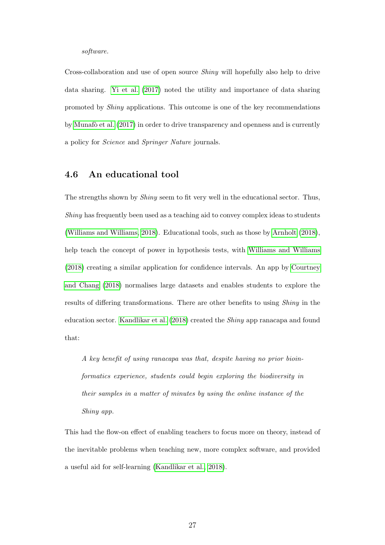#### software.

Cross-collaboration and use of open source Shiny will hopefully also help to drive data sharing. [Yi et al.](#page-36-4) [\(2017\)](#page-36-4) noted the utility and importance of data sharing promoted by Shiny applications. This outcome is one of the key recommendations by Munaf $\delta$  et al. [\(2017\)](#page-34-6) in order to drive transparency and openness and is currently a policy for Science and Springer Nature journals.

#### 4.6 An educational tool

The strengths shown by Shiny seem to fit very well in the educational sector. Thus, Shiny has frequently been used as a teaching aid to convey complex ideas to students [\(Williams and Williams, 2018\)](#page-36-5). Educational tools, such as those by [Arnholt](#page-29-7) [\(2018\)](#page-29-7), help teach the concept of power in hypothesis tests, with [Williams and Williams](#page-36-5) [\(2018\)](#page-36-5) creating a similar application for confidence intervals. An app by [Courtney](#page-30-9) [and Chang](#page-30-9) [\(2018\)](#page-30-9) normalises large datasets and enables students to explore the results of differing transformations. There are other benefits to using Shiny in the education sector. [Kandlikar et al.](#page-33-5) [\(2018\)](#page-33-5) created the Shiny app ranacapa and found that:

A key benefit of using ranacapa was that, despite having no prior bioinformatics experience, students could begin exploring the biodiversity in their samples in a matter of minutes by using the online instance of the Shiny app.

This had the flow-on effect of enabling teachers to focus more on theory, instead of the inevitable problems when teaching new, more complex software, and provided a useful aid for self-learning [\(Kandlikar et al., 2018\)](#page-33-5).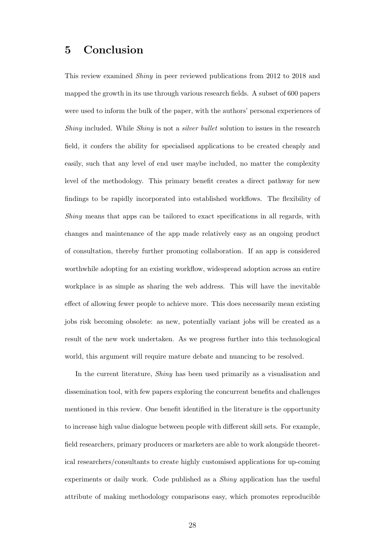### 5 Conclusion

This review examined Shiny in peer reviewed publications from 2012 to 2018 and mapped the growth in its use through various research fields. A subset of 600 papers were used to inform the bulk of the paper, with the authors' personal experiences of Shiny included. While Shiny is not a *silver bullet* solution to issues in the research field, it confers the ability for specialised applications to be created cheaply and easily, such that any level of end user maybe included, no matter the complexity level of the methodology. This primary benefit creates a direct pathway for new findings to be rapidly incorporated into established workflows. The flexibility of Shiny means that apps can be tailored to exact specifications in all regards, with changes and maintenance of the app made relatively easy as an ongoing product of consultation, thereby further promoting collaboration. If an app is considered worthwhile adopting for an existing workflow, widespread adoption across an entire workplace is as simple as sharing the web address. This will have the inevitable effect of allowing fewer people to achieve more. This does necessarily mean existing jobs risk becoming obsolete: as new, potentially variant jobs will be created as a result of the new work undertaken. As we progress further into this technological world, this argument will require mature debate and nuancing to be resolved.

In the current literature, Shiny has been used primarily as a visualisation and dissemination tool, with few papers exploring the concurrent benefits and challenges mentioned in this review. One benefit identified in the literature is the opportunity to increase high value dialogue between people with different skill sets. For example, field researchers, primary producers or marketers are able to work alongside theoretical researchers/consultants to create highly customised applications for up-coming experiments or daily work. Code published as a Shiny application has the useful attribute of making methodology comparisons easy, which promotes reproducible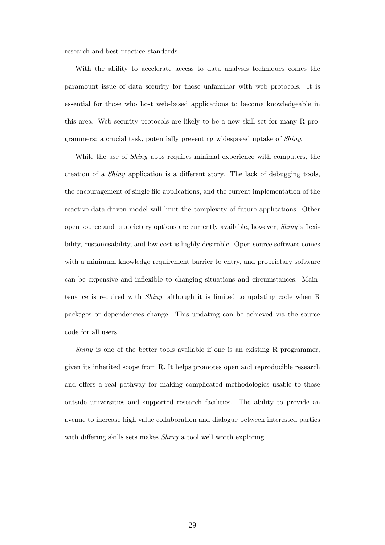research and best practice standards.

With the ability to accelerate access to data analysis techniques comes the paramount issue of data security for those unfamiliar with web protocols. It is essential for those who host web-based applications to become knowledgeable in this area. Web security protocols are likely to be a new skill set for many R programmers: a crucial task, potentially preventing widespread uptake of Shiny.

While the use of *Shiny* apps requires minimal experience with computers, the creation of a Shiny application is a different story. The lack of debugging tools, the encouragement of single file applications, and the current implementation of the reactive data-driven model will limit the complexity of future applications. Other open source and proprietary options are currently available, however, Shiny's flexibility, customisability, and low cost is highly desirable. Open source software comes with a minimum knowledge requirement barrier to entry, and proprietary software can be expensive and inflexible to changing situations and circumstances. Maintenance is required with Shiny, although it is limited to updating code when R packages or dependencies change. This updating can be achieved via the source code for all users.

Shiny is one of the better tools available if one is an existing R programmer, given its inherited scope from R. It helps promotes open and reproducible research and offers a real pathway for making complicated methodologies usable to those outside universities and supported research facilities. The ability to provide an avenue to increase high value collaboration and dialogue between interested parties with differing skills sets makes *Shiny* a tool well worth exploring.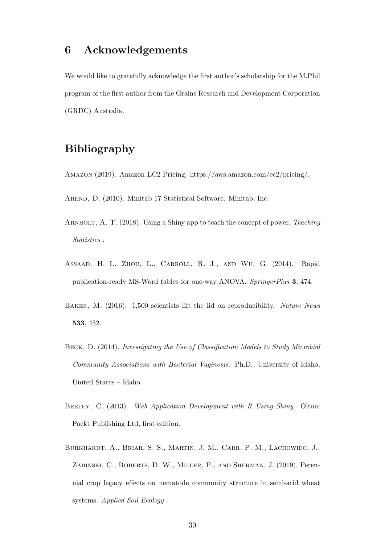### 6 Acknowledgements

We would like to gratefully acknowledge the first author's scholarship for the M.Phil program of the first author from the Grains Research and Development Corporation (GRDC) Australia.

# Bibliography

<span id="page-29-3"></span><span id="page-29-0"></span>Amazon (2019). Amazon EC2 Pricing. https://aws.amazon.com/ec2/pricing/.

<span id="page-29-7"></span>AREND, D. (2010). Minitab 17 Statistical Software. Minitab, Inc.

- ARNHOLT, A. T. (2018). Using a Shiny app to teach the concept of power. Teaching Statistics .
- <span id="page-29-5"></span>ASSAAD, H. I., ZHOU, L., CARROLL, R. J., AND WU, G. (2014). Rapid publication-ready MS-Word tables for one-way ANOVA. SpringerPlus 3, 474.
- <span id="page-29-1"></span>BAKER, M. (2016). 1,500 scientists lift the lid on reproducibility. Nature News 533, 452.
- <span id="page-29-4"></span>Beck, D. (2014). Investigating the Use of Classification Models to Study Microbial Community Associations with Bacterial Vaginosis. Ph.D., University of Idaho, United States – Idaho.
- <span id="page-29-2"></span>BEELEY, C. (2013). Web Application Development with R Using Shiny. Olton: Packt Publishing Ltd, first edition.
- <span id="page-29-6"></span>Burkhardt, A., Briar, S. S., Martin, J. M., Carr, P. M., Lachowiec, J., Zabinski, C., Roberts, D. W., Miller, P., and Sherman, J. (2019). Perennial crop legacy effects on nematode community structure in semi-arid wheat systems. Applied Soil Ecology .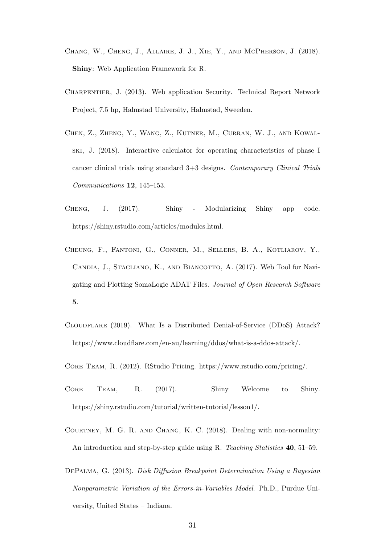- <span id="page-30-1"></span>Chang, W., Cheng, J., Allaire, J. J., Xie, Y., and McPherson, J. (2018). Shiny: Web Application Framework for R.
- <span id="page-30-3"></span>Charpentier, J. (2013). Web application Security. Technical Report Network Project, 7.5 hp, Halmstad University, Halmstad, Sweeden.
- <span id="page-30-8"></span>Chen, Z., Zheng, Y., Wang, Z., Kutner, M., Curran, W. J., and Kowalski, J. (2018). Interactive calculator for operating characteristics of phase I cancer clinical trials using standard 3+3 designs. Contemporary Clinical Trials Communications 12, 145–153.
- <span id="page-30-5"></span>Cheng, J. (2017). Shiny - Modularizing Shiny app code. https://shiny.rstudio.com/articles/modules.html.
- <span id="page-30-4"></span>Cheung, F., Fantoni, G., Conner, M., Sellers, B. A., Kotliarov, Y., CANDIA, J., STAGLIANO, K., AND BIANCOTTO, A. (2017). Web Tool for Navigating and Plotting SomaLogic ADAT Files. Journal of Open Research Software 5.
- <span id="page-30-7"></span>Cloudflare (2019). What Is a Distributed Denial-of-Service (DDoS) Attack? https://www.cloudflare.com/en-au/learning/ddos/what-is-a-ddos-attack/.
- <span id="page-30-6"></span><span id="page-30-2"></span>Core Team, R. (2012). RStudio Pricing. https://www.rstudio.com/pricing/.
- Core Team, R. (2017). Shiny Welcome to Shiny. https://shiny.rstudio.com/tutorial/written-tutorial/lesson1/.
- <span id="page-30-9"></span>Courtney, M. G. R. and Chang, K. C. (2018). Dealing with non-normality: An introduction and step-by-step guide using R. Teaching Statistics 40, 51–59.
- <span id="page-30-0"></span>DePalma, G. (2013). Disk Diffusion Breakpoint Determination Using a Bayesian Nonparametric Variation of the Errors-in-Variables Model. Ph.D., Purdue University, United States – Indiana.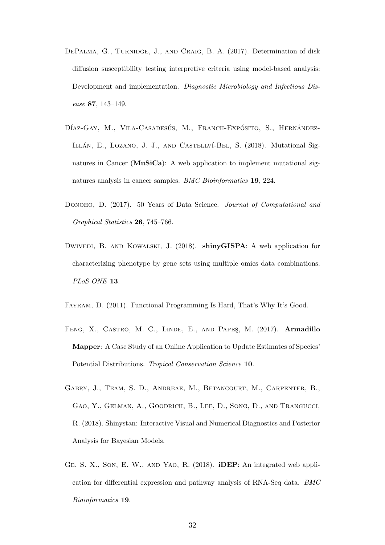- <span id="page-31-4"></span>DEPALMA, G., TURNIDGE, J., AND CRAIG, B. A. (2017). Determination of disk diffusion susceptibility testing interpretive criteria using model-based analysis: Development and implementation. Diagnostic Microbiology and Infectious Disease 87, 143–149.
- <span id="page-31-5"></span>DÍAZ-GAY, M., VILA-CASADESÚS, M., FRANCH-EXPÓSITO, S., HERNÁNDEZ-ILLÁN, E., LOZANO, J. J., AND CASTELLVÍ-BEL, S. (2018). Mutational Signatures in Cancer (MuSiCa): A web application to implement mutational signatures analysis in cancer samples. BMC Bioinformatics 19, 224.
- <span id="page-31-0"></span>DONOHO, D. (2017). 50 Years of Data Science. Journal of Computational and Graphical Statistics 26, 745–766.
- <span id="page-31-1"></span>DWIVEDI, B. AND KOWALSKI, J. (2018). shinyGISPA: A web application for characterizing phenotype by gene sets using multiple omics data combinations. PL<sub>oS</sub> ONE 13.
- <span id="page-31-6"></span><span id="page-31-3"></span>Fayram, D. (2011). Functional Programming Is Hard, That's Why It's Good.
- FENG, X., CASTRO, M. C., LINDE, E., AND PAPES, M. (2017). Armadillo Mapper: A Case Study of an Online Application to Update Estimates of Species' Potential Distributions. Tropical Conservation Science 10.
- <span id="page-31-7"></span>Gabry, J., Team, S. D., Andreae, M., Betancourt, M., Carpenter, B., Gao, Y., Gelman, A., Goodrich, B., Lee, D., Song, D., and Trangucci, R. (2018). Shinystan: Interactive Visual and Numerical Diagnostics and Posterior Analysis for Bayesian Models.
- <span id="page-31-2"></span>Ge, S. X., Son, E. W., and Yao, R. (2018). iDEP: An integrated web application for differential expression and pathway analysis of RNA-Seq data. BMC Bioinformatics 19.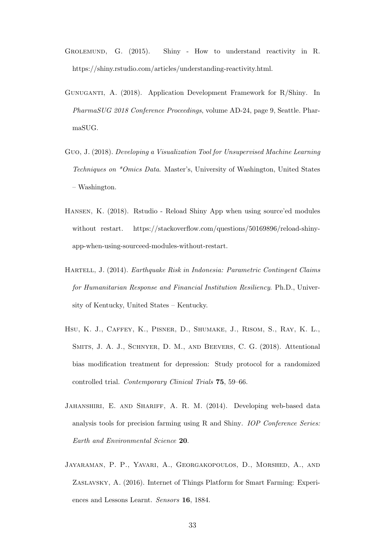- <span id="page-32-1"></span>Grolemund, G. (2015). Shiny - How to understand reactivity in R. https://shiny.rstudio.com/articles/understanding-reactivity.html.
- <span id="page-32-0"></span>Gunuganti, A. (2018). Application Development Framework for R/Shiny. In PharmaSUG 2018 Conference Proceedings, volume AD-24, page 9, Seattle. PharmaSUG.
- <span id="page-32-2"></span>Guo, J. (2018). Developing a Visualization Tool for Unsupervised Machine Learning Techniques on \*Omics Data. Master's, University of Washington, United States – Washington.
- <span id="page-32-3"></span>Hansen, K. (2018). Rstudio - Reload Shiny App when using source'ed modules without restart. https://stackoverflow.com/questions/50169896/reload-shinyapp-when-using-sourceed-modules-without-restart.
- <span id="page-32-7"></span>Hartell, J. (2014). Earthquake Risk in Indonesia: Parametric Contingent Claims for Humanitarian Response and Financial Institution Resiliency. Ph.D., University of Kentucky, United States – Kentucky.
- <span id="page-32-6"></span>Hsu, K. J., Caffey, K., Pisner, D., Shumake, J., Risom, S., Ray, K. L., Smits, J. A. J., Schnyer, D. M., and Beevers, C. G. (2018). Attentional bias modification treatment for depression: Study protocol for a randomized controlled trial. Contemporary Clinical Trials 75, 59–66.
- <span id="page-32-4"></span>JAHANSHIRI, E. AND SHARIFF, A. R. M. (2014). Developing web-based data analysis tools for precision farming using R and Shiny. IOP Conference Series: Earth and Environmental Science 20.
- <span id="page-32-5"></span>Jayaraman, P. P., Yavari, A., Georgakopoulos, D., Morshed, A., and Zaslavsky, A. (2016). Internet of Things Platform for Smart Farming: Experiences and Lessons Learnt. Sensors 16, 1884.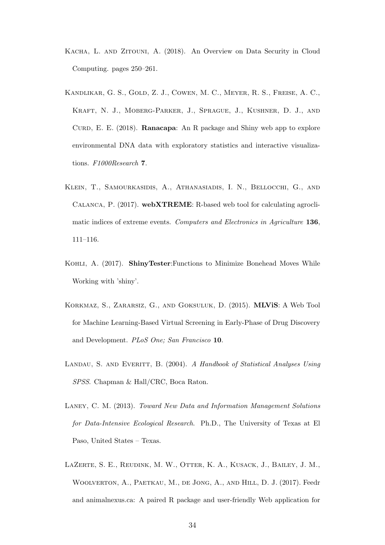- <span id="page-33-3"></span>Kacha, L. and Zitouni, A. (2018). An Overview on Data Security in Cloud Computing. pages 250–261.
- <span id="page-33-5"></span>Kandlikar, G. S., Gold, Z. J., Cowen, M. C., Meyer, R. S., Freise, A. C., Kraft, N. J., Moberg-Parker, J., Sprague, J., Kushner, D. J., and Curd, E. E. (2018). Ranacapa: An R package and Shiny web app to explore environmental DNA data with exploratory statistics and interactive visualizations. F1000Research 7.
- <span id="page-33-4"></span>Klein, T., Samourkasidis, A., Athanasiadis, I. N., Bellocchi, G., and Calanca, P. (2017). webXTREME: R-based web tool for calculating agroclimatic indices of extreme events. Computers and Electronics in Agriculture 136, 111–116.
- <span id="page-33-2"></span>Kohli, A. (2017). ShinyTester:Functions to Minimize Bonehead Moves While Working with 'shiny'.
- <span id="page-33-7"></span>Korkmaz, S., Zararsiz, G., and Goksuluk, D. (2015). MLViS: A Web Tool for Machine Learning-Based Virtual Screening in Early-Phase of Drug Discovery and Development. PLoS One; San Francisco 10.
- <span id="page-33-0"></span>LANDAU, S. AND EVERITT, B. (2004). A Handbook of Statistical Analyses Using SPSS. Chapman & Hall/CRC, Boca Raton.
- <span id="page-33-6"></span>Laney, C. M. (2013). Toward New Data and Information Management Solutions for Data-Intensive Ecological Research. Ph.D., The University of Texas at El Paso, United States – Texas.
- <span id="page-33-1"></span>LaZerte, S. E., Reudink, M. W., Otter, K. A., Kusack, J., Bailey, J. M., Woolverton, A., Paetkau, M., de Jong, A., and Hill, D. J. (2017). Feedr and animalnexus.ca: A paired R package and user-friendly Web application for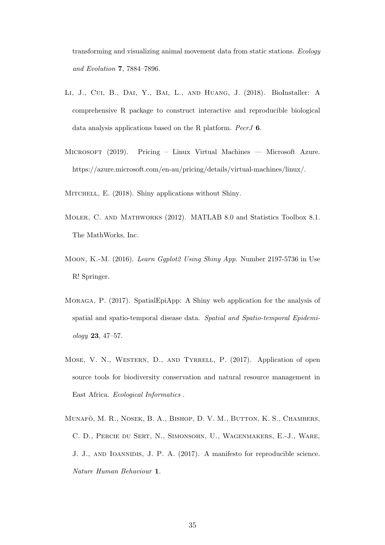transforming and visualizing animal movement data from static stations. Ecology and Evolution 7, 7884–7896.

- <span id="page-34-1"></span>Li, J., Cui, B., Dai, Y., Bai, L., and Huang, J. (2018). BioInstaller: A comprehensive R package to construct interactive and reproducible biological data analysis applications based on the R platform. PeerJ 6.
- <span id="page-34-3"></span>Microsoft (2019). Pricing – Linux Virtual Machines — Microsoft Azure. https://azure.microsoft.com/en-au/pricing/details/virtual-machines/linux/.
- <span id="page-34-4"></span><span id="page-34-0"></span>MITCHELL, E. (2018). Shiny applications without Shiny.
- Moler, C. and Mathworks (2012). MATLAB 8.0 and Statistics Toolbox 8.1. The MathWorks, Inc.
- <span id="page-34-2"></span>Moon, K.-M. (2016). Learn Ggplot2 Using Shiny App. Number 2197-5736 in Use R! Springer.
- <span id="page-34-5"></span>Moraga, P. (2017). SpatialEpiApp: A Shiny web application for the analysis of spatial and spatio-temporal disease data. Spatial and Spatio-temporal Epidemiology 23, 47–57.
- <span id="page-34-7"></span>MOSE, V. N., WESTERN, D., AND TYRRELL, P. (2017). Application of open source tools for biodiversity conservation and natural resource management in East Africa. Ecological Informatics .
- <span id="page-34-6"></span>MUNAFÒ, M. R., NOSEK, B. A., BISHOP, D. V. M., BUTTON, K. S., CHAMBERS, C. D., Percie du Sert, N., Simonsohn, U., Wagenmakers, E.-J., Ware, J. J., and Ioannidis, J. P. A. (2017). A manifesto for reproducible science. Nature Human Behaviour 1.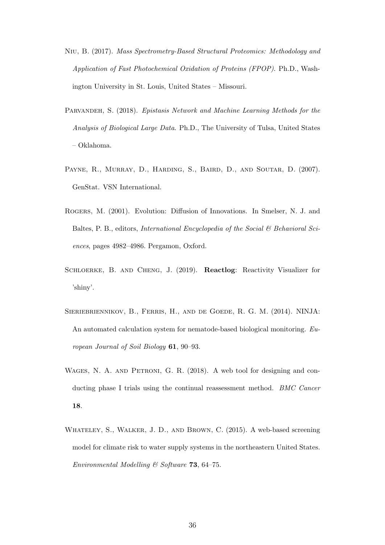- <span id="page-35-5"></span>Niu, B. (2017). Mass Spectrometry-Based Structural Proteomics: Methodology and Application of Fast Photochemical Oxidation of Proteins (FPOP). Ph.D., Washington University in St. Louis, United States – Missouri.
- <span id="page-35-6"></span>Parvandeh, S. (2018). Epistasis Network and Machine Learning Methods for the Analysis of Biological Large Data. Ph.D., The University of Tulsa, United States – Oklahoma.
- <span id="page-35-0"></span>PAYNE, R., MURRAY, D., HARDING, S., BAIRD, D., AND SOUTAR, D. (2007). GenStat. VSN International.
- <span id="page-35-2"></span>Rogers, M. (2001). Evolution: Diffusion of Innovations. In Smelser, N. J. and Baltes, P. B., editors, *International Encyclopedia of the Social*  $\mathcal{B}$  *Behavioral Sci*ences, pages 4982–4986. Pergamon, Oxford.
- <span id="page-35-1"></span>SCHLOERKE, B. AND CHENG, J. (2019). Reactlog: Reactivity Visualizer for 'shiny'.
- <span id="page-35-7"></span>Sieriebriennikov, B., Ferris, H., and de Goede, R. G. M. (2014). NINJA: An automated calculation system for nematode-based biological monitoring. European Journal of Soil Biology 61, 90–93.
- <span id="page-35-3"></span>WAGES, N. A. AND PETRONI, G. R. (2018). A web tool for designing and conducting phase I trials using the continual reassessment method. *BMC Cancer* 18.
- <span id="page-35-4"></span>WHATELEY, S., WALKER, J. D., AND BROWN, C. (2015). A web-based screening model for climate risk to water supply systems in the northeastern United States. Environmental Modelling & Software 73, 64-75.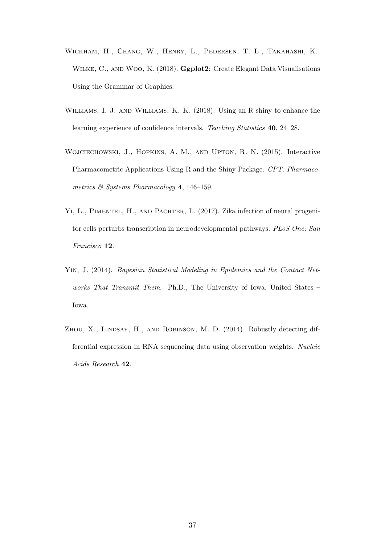- <span id="page-36-0"></span>Wickham, H., Chang, W., Henry, L., Pedersen, T. L., Takahashi, K., WILKE, C., AND WOO, K. (2018). Ggplot2: Create Elegant Data Visualisations Using the Grammar of Graphics.
- <span id="page-36-5"></span>Williams, I. J. and Williams, K. K. (2018). Using an R shiny to enhance the learning experience of confidence intervals. Teaching Statistics 40, 24–28.
- <span id="page-36-3"></span>Wojciechowski, J., Hopkins, A. M., and Upton, R. N. (2015). Interactive Pharmacometric Applications Using R and the Shiny Package. CPT: Pharmacometrics & Systems Pharmacology 4, 146–159.
- <span id="page-36-4"></span>YI, L., PIMENTEL, H., AND PACHTER, L. (2017). Zika infection of neural progenitor cells perturbs transcription in neurodevelopmental pathways. PLoS One; San Francisco 12.
- <span id="page-36-2"></span>Yin, J. (2014). Bayesian Statistical Modeling in Epidemics and the Contact Networks That Transmit Them. Ph.D., The University of Iowa, United States – Iowa.
- <span id="page-36-1"></span>ZHOU, X., LINDSAY, H., AND ROBINSON, M. D. (2014). Robustly detecting differential expression in RNA sequencing data using observation weights. Nucleic Acids Research 42.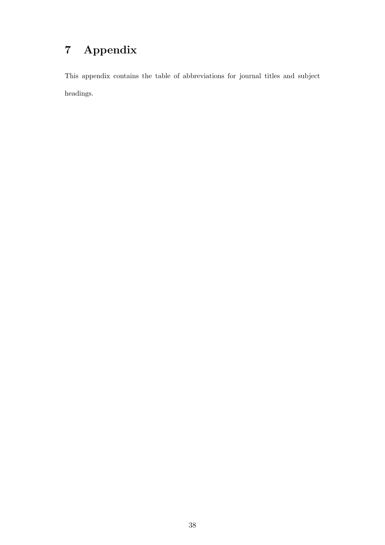# 7 Appendix

This appendix contains the table of abbreviations for journal titles and subject headings.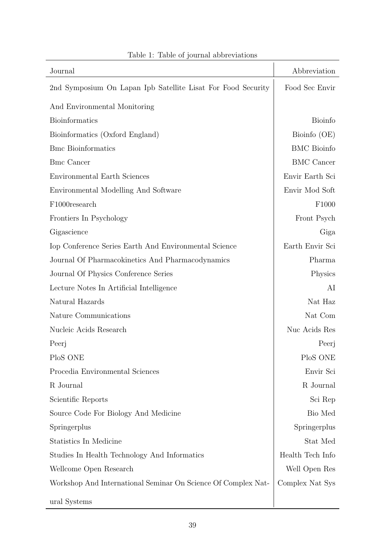<span id="page-38-0"></span>

| Journal                                                       | Abbreviation       |
|---------------------------------------------------------------|--------------------|
| 2nd Symposium On Lapan Ipb Satellite Lisat For Food Security  | Food Sec Envir     |
| And Environmental Monitoring                                  |                    |
| <b>Bioinformatics</b>                                         | <b>Bioinfo</b>     |
| Bioinformatics (Oxford England)                               | Bioinfo (OE)       |
| <b>Bmc</b> Bioinformatics                                     | <b>BMC</b> Bioinfo |
| <b>Bmc</b> Cancer                                             | <b>BMC</b> Cancer  |
| Environmental Earth Sciences                                  | Envir Earth Sci    |
| Environmental Modelling And Software                          | Envir Mod Soft     |
| F1000research                                                 | F1000              |
| Frontiers In Psychology                                       | Front Psych        |
| Gigascience                                                   | Giga               |
| Iop Conference Series Earth And Environmental Science         | Earth Envir Sci    |
| Journal Of Pharmacokinetics And Pharmacodynamics              | Pharma             |
| Journal Of Physics Conference Series                          | Physics            |
| Lecture Notes In Artificial Intelligence                      | AI                 |
| Natural Hazards                                               | Nat Haz            |
| Nature Communications                                         | Nat Com            |
| Nucleic Acids Research                                        | Nuc Acids Res      |
| Peerj                                                         | Peerj              |
| PloS ONE                                                      | PloS ONE           |
| Procedia Environmental Sciences                               | Envir Sci          |
| R Journal                                                     | R Journal          |
| Scientific Reports                                            | Sci Rep            |
| Source Code For Biology And Medicine                          | Bio Med            |
| Springerplus                                                  | Springerplus       |
| Statistics In Medicine                                        | Stat Med           |
| Studies In Health Technology And Informatics                  | Health Tech Info   |
| Wellcome Open Research                                        | Well Open Res      |
| Workshop And International Seminar On Science Of Complex Nat- | Complex Nat Sys    |
| ural Systems                                                  |                    |

# Table 1: Table of journal abbreviations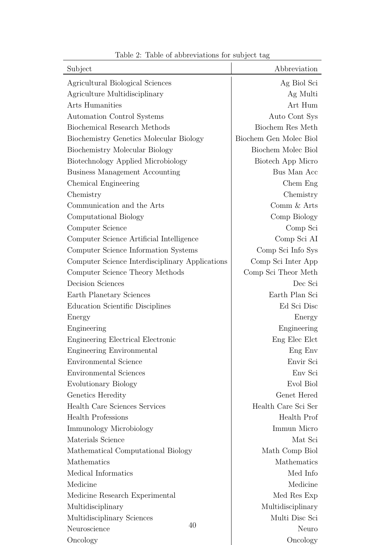<span id="page-39-0"></span>

| Subject                                         | Abbreviation           |
|-------------------------------------------------|------------------------|
| Agricultural Biological Sciences                | Ag Biol Sci            |
| Agriculture Multidisciplinary                   | Ag Multi               |
| <b>Arts Humanities</b>                          | Art Hum                |
| <b>Automation Control Systems</b>               | Auto Cont Sys          |
| Biochemical Research Methods                    | Biochem Res Meth       |
| Biochemistry Genetics Molecular Biology         | Biochem Gen Molec Biol |
| Biochemistry Molecular Biology                  | Biochem Molec Biol     |
| Biotechnology Applied Microbiology              | Biotech App Micro      |
| <b>Business Management Accounting</b>           | Bus Man Acc            |
| Chemical Engineering                            | Chem Eng               |
| Chemistry                                       | Chemistry              |
| Communication and the Arts                      | Comm & Arts            |
| Computational Biology                           | Comp Biology           |
| Computer Science                                | Comp Sci               |
| Computer Science Artificial Intelligence        | Comp Sci AI            |
| Computer Science Information Systems            | Comp Sci Info Sys      |
| Computer Science Interdisciplinary Applications | Comp Sci Inter App     |
| Computer Science Theory Methods                 | Comp Sci Theor Meth    |
| <b>Decision Sciences</b>                        | Dec Sci                |
| Earth Planetary Sciences                        | Earth Plan Sci         |
| Education Scientific Disciplines                | Ed Sci Disc            |
| Energy                                          | Energy                 |
| Engineering                                     | Engineering            |
| Engineering Electrical Electronic               | Eng Elec Elct          |
| Engineering Environmental                       | Eng Env                |
| Environmental Science                           | Envir Sci              |
| <b>Environmental Sciences</b>                   | Env Sci                |
| Evolutionary Biology                            | Evol Biol              |
| Genetics Heredity                               | Genet Hered            |
| <b>Health Care Sciences Services</b>            | Health Care Sci Ser    |
| <b>Health Professions</b>                       | Health Prof            |
| Immunology Microbiology                         | Immun Micro            |
| Materials Science                               | Mat Sci                |
| Mathematical Computational Biology              | Math Comp Biol         |
| Mathematics                                     | Mathematics            |
| Medical Informatics                             | Med Info               |
| Medicine                                        | Medicine               |
| Medicine Research Experimental                  | Med Res Exp            |
| Multidisciplinary                               | Multidisciplinary      |
| Multidisciplinary Sciences                      | Multi Disc Sci         |
| 40<br>Neuroscience                              | Neuro                  |
| Oncology                                        | Oncology               |

Table 2: Table of abbreviations for subject tag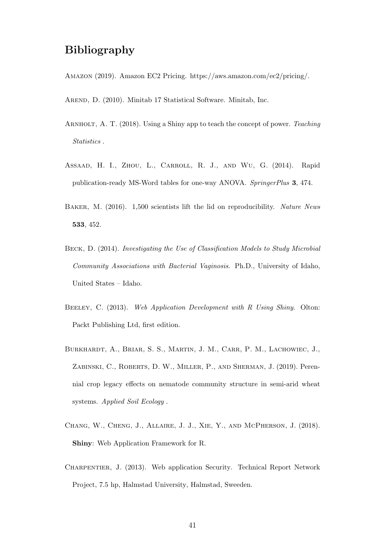# Bibliography

- Amazon (2019). Amazon EC2 Pricing. https://aws.amazon.com/ec2/pricing/.
- AREND, D. (2010). Minitab 17 Statistical Software. Minitab, Inc.
- ARNHOLT, A. T. (2018). Using a Shiny app to teach the concept of power. Teaching Statistics .
- Assaad, H. I., Zhou, L., Carroll, R. J., and Wu, G. (2014). Rapid publication-ready MS-Word tables for one-way ANOVA. SpringerPlus 3, 474.
- BAKER, M. (2016). 1,500 scientists lift the lid on reproducibility. Nature News 533, 452.
- Beck, D. (2014). Investigating the Use of Classification Models to Study Microbial Community Associations with Bacterial Vaginosis. Ph.D., University of Idaho, United States – Idaho.
- BEELEY, C. (2013). Web Application Development with R Using Shiny. Olton: Packt Publishing Ltd, first edition.
- Burkhardt, A., Briar, S. S., Martin, J. M., Carr, P. M., Lachowiec, J., ZABINSKI, C., ROBERTS, D. W., MILLER, P., AND SHERMAN, J. (2019). Perennial crop legacy effects on nematode community structure in semi-arid wheat systems. Applied Soil Ecology .
- Chang, W., Cheng, J., Allaire, J. J., Xie, Y., and McPherson, J. (2018). Shiny: Web Application Framework for R.
- Charpentier, J. (2013). Web application Security. Technical Report Network Project, 7.5 hp, Halmstad University, Halmstad, Sweeden.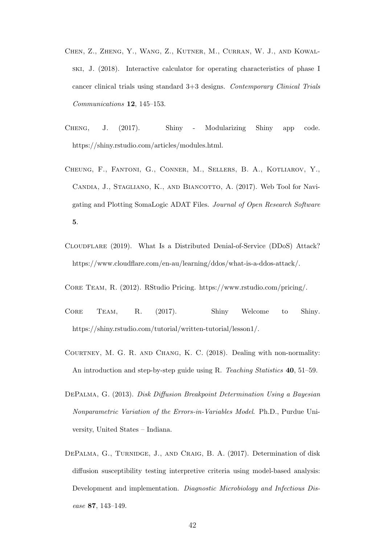- Chen, Z., Zheng, Y., Wang, Z., Kutner, M., Curran, W. J., and Kowalski, J. (2018). Interactive calculator for operating characteristics of phase I cancer clinical trials using standard 3+3 designs. Contemporary Clinical Trials Communications 12, 145–153.
- Cheng, J. (2017). Shiny Modularizing Shiny app code. https://shiny.rstudio.com/articles/modules.html.
- Cheung, F., Fantoni, G., Conner, M., Sellers, B. A., Kotliarov, Y., CANDIA, J., STAGLIANO, K., AND BIANCOTTO, A. (2017). Web Tool for Navigating and Plotting SomaLogic ADAT Files. Journal of Open Research Software 5.
- Cloudflare (2019). What Is a Distributed Denial-of-Service (DDoS) Attack? https://www.cloudflare.com/en-au/learning/ddos/what-is-a-ddos-attack/.
- Core Team, R. (2012). RStudio Pricing. https://www.rstudio.com/pricing/.
- Core Team, R. (2017). Shiny Welcome to Shiny. https://shiny.rstudio.com/tutorial/written-tutorial/lesson1/.
- Courtney, M. G. R. and Chang, K. C. (2018). Dealing with non-normality: An introduction and step-by-step guide using R. Teaching Statistics 40, 51–59.
- DePalma, G. (2013). Disk Diffusion Breakpoint Determination Using a Bayesian Nonparametric Variation of the Errors-in-Variables Model. Ph.D., Purdue University, United States – Indiana.
- DEPALMA, G., TURNIDGE, J., AND CRAIG, B. A. (2017). Determination of disk diffusion susceptibility testing interpretive criteria using model-based analysis: Development and implementation. Diagnostic Microbiology and Infectious Disease 87, 143–149.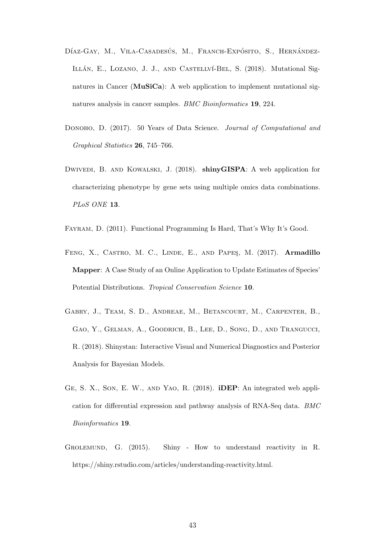- DÍAZ-GAY, M., VILA-CASADESÚS, M., FRANCH-EXPÓSITO, S., HERNÁNDEZ-ILLÁN, E., LOZANO, J. J., AND CASTELLVÍ-BEL, S. (2018). Mutational Signatures in Cancer (MuSiCa): A web application to implement mutational signatures analysis in cancer samples. BMC Bioinformatics 19, 224.
- DONOHO, D. (2017). 50 Years of Data Science. Journal of Computational and Graphical Statistics 26, 745–766.
- Dwivedi, B. and Kowalski, J. (2018). shinyGISPA: A web application for characterizing phenotype by gene sets using multiple omics data combinations. PLoS ONE 13.
- Fayram, D. (2011). Functional Programming Is Hard, That's Why It's Good.
- FENG, X., CASTRO, M. C., LINDE, E., AND PAPES, M. (2017). Armadillo Mapper: A Case Study of an Online Application to Update Estimates of Species' Potential Distributions. Tropical Conservation Science 10.
- Gabry, J., Team, S. D., Andreae, M., Betancourt, M., Carpenter, B., Gao, Y., Gelman, A., Goodrich, B., Lee, D., Song, D., and Trangucci, R. (2018). Shinystan: Interactive Visual and Numerical Diagnostics and Posterior Analysis for Bayesian Models.
- Ge, S. X., Son, E. W., and Yao, R. (2018). iDEP: An integrated web application for differential expression and pathway analysis of RNA-Seq data. BMC Bioinformatics 19.
- Grolemund, G. (2015). Shiny How to understand reactivity in R. https://shiny.rstudio.com/articles/understanding-reactivity.html.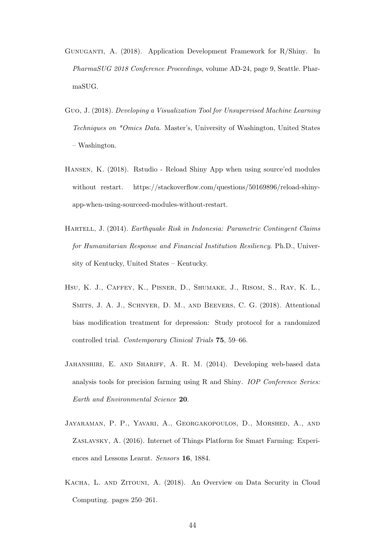- Gunuganti, A. (2018). Application Development Framework for R/Shiny. In PharmaSUG 2018 Conference Proceedings, volume AD-24, page 9, Seattle. PharmaSUG.
- Guo, J. (2018). Developing a Visualization Tool for Unsupervised Machine Learning Techniques on \*Omics Data. Master's, University of Washington, United States – Washington.
- Hansen, K. (2018). Rstudio Reload Shiny App when using source'ed modules without restart. https://stackoverflow.com/questions/50169896/reload-shinyapp-when-using-sourceed-modules-without-restart.
- Hartell, J. (2014). Earthquake Risk in Indonesia: Parametric Contingent Claims for Humanitarian Response and Financial Institution Resiliency. Ph.D., University of Kentucky, United States – Kentucky.
- Hsu, K. J., Caffey, K., Pisner, D., Shumake, J., Risom, S., Ray, K. L., Smits, J. A. J., Schnyer, D. M., and Beevers, C. G. (2018). Attentional bias modification treatment for depression: Study protocol for a randomized controlled trial. Contemporary Clinical Trials 75, 59–66.
- JAHANSHIRI, E. AND SHARIFF, A. R. M. (2014). Developing web-based data analysis tools for precision farming using R and Shiny. IOP Conference Series: Earth and Environmental Science 20.
- Jayaraman, P. P., Yavari, A., Georgakopoulos, D., Morshed, A., and Zaslavsky, A. (2016). Internet of Things Platform for Smart Farming: Experiences and Lessons Learnt. Sensors 16, 1884.
- Kacha, L. and Zitouni, A. (2018). An Overview on Data Security in Cloud Computing. pages 250–261.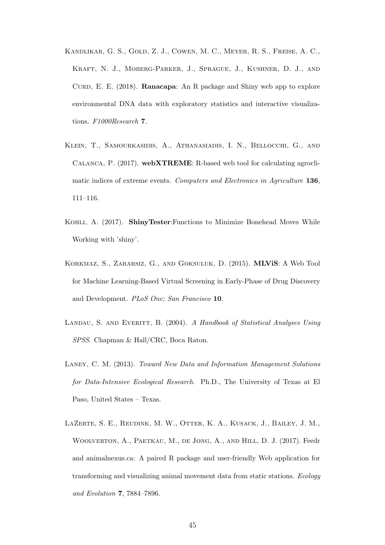- Kandlikar, G. S., Gold, Z. J., Cowen, M. C., Meyer, R. S., Freise, A. C., Kraft, N. J., Moberg-Parker, J., Sprague, J., Kushner, D. J., and CURD, E. E.  $(2018)$ . **Ranacapa**: An R package and Shiny web app to explore environmental DNA data with exploratory statistics and interactive visualizations. F1000Research 7.
- Klein, T., Samourkasidis, A., Athanasiadis, I. N., Bellocchi, G., and Calanca, P. (2017). webXTREME: R-based web tool for calculating agroclimatic indices of extreme events. Computers and Electronics in Agriculture 136, 111–116.
- Kohli, A. (2017). ShinyTester:Functions to Minimize Bonehead Moves While Working with 'shiny'.
- Korkmaz, S., Zararsiz, G., and Goksuluk, D. (2015). MLViS: A Web Tool for Machine Learning-Based Virtual Screening in Early-Phase of Drug Discovery and Development. PLoS One; San Francisco 10.
- LANDAU, S. AND EVERITT, B. (2004). A Handbook of Statistical Analyses Using SPSS. Chapman & Hall/CRC, Boca Raton.
- Laney, C. M. (2013). Toward New Data and Information Management Solutions for Data-Intensive Ecological Research. Ph.D., The University of Texas at El Paso, United States – Texas.
- LaZerte, S. E., Reudink, M. W., Otter, K. A., Kusack, J., Bailey, J. M., Woolverton, A., Paetkau, M., de Jong, A., and Hill, D. J. (2017). Feedr and animalnexus.ca: A paired R package and user-friendly Web application for transforming and visualizing animal movement data from static stations. Ecology and Evolution 7, 7884–7896.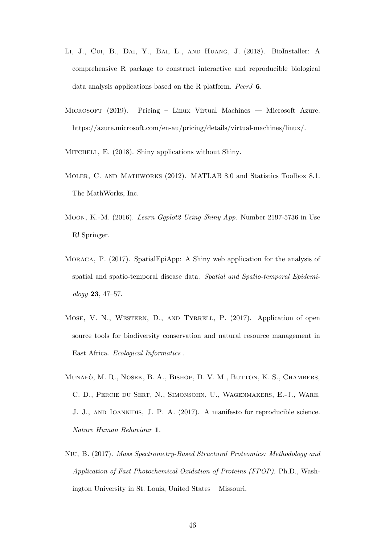- Li, J., Cui, B., Dai, Y., Bai, L., and Huang, J. (2018). BioInstaller: A comprehensive R package to construct interactive and reproducible biological data analysis applications based on the R platform. PeerJ 6.
- Microsoft (2019). Pricing Linux Virtual Machines Microsoft Azure. https://azure.microsoft.com/en-au/pricing/details/virtual-machines/linux/.

MITCHELL, E. (2018). Shiny applications without Shiny.

- Moler, C. and Mathworks (2012). MATLAB 8.0 and Statistics Toolbox 8.1. The MathWorks, Inc.
- Moon, K.-M. (2016). Learn Ggplot2 Using Shiny App. Number 2197-5736 in Use R! Springer.
- Moraga, P. (2017). SpatialEpiApp: A Shiny web application for the analysis of spatial and spatio-temporal disease data. Spatial and Spatio-temporal Epidemiology 23, 47–57.
- Mose, V. N., Western, D., and Tyrrell, P. (2017). Application of open source tools for biodiversity conservation and natural resource management in East Africa. Ecological Informatics .
- MUNAFÒ, M. R., NOSEK, B. A., BISHOP, D. V. M., BUTTON, K. S., CHAMBERS, C. D., Percie du Sert, N., Simonsohn, U., Wagenmakers, E.-J., Ware, J. J., and Ioannidis, J. P. A. (2017). A manifesto for reproducible science. Nature Human Behaviour 1.
- Niu, B. (2017). Mass Spectrometry-Based Structural Proteomics: Methodology and Application of Fast Photochemical Oxidation of Proteins (FPOP). Ph.D., Washington University in St. Louis, United States – Missouri.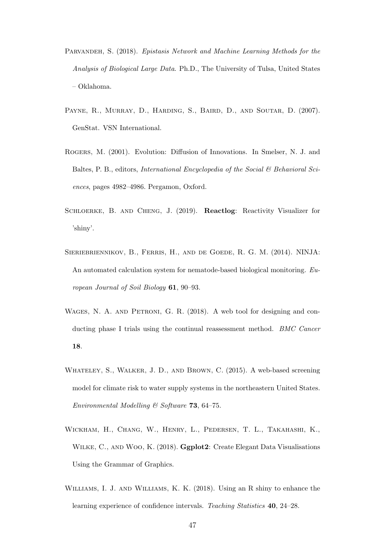- Parvandeh, S. (2018). Epistasis Network and Machine Learning Methods for the Analysis of Biological Large Data. Ph.D., The University of Tulsa, United States – Oklahoma.
- PAYNE, R., MURRAY, D., HARDING, S., BAIRD, D., AND SOUTAR, D. (2007). GenStat. VSN International.
- Rogers, M. (2001). Evolution: Diffusion of Innovations. In Smelser, N. J. and Baltes, P. B., editors, International Encyclopedia of the Social & Behavioral Sciences, pages 4982–4986. Pergamon, Oxford.
- Schloerke, B. and Cheng, J. (2019). Reactlog: Reactivity Visualizer for 'shiny'.
- Sieriebriennikov, B., Ferris, H., and de Goede, R. G. M. (2014). NINJA: An automated calculation system for nematode-based biological monitoring. European Journal of Soil Biology 61, 90–93.
- WAGES, N. A. AND PETRONI, G. R. (2018). A web tool for designing and conducting phase I trials using the continual reassessment method. *BMC Cancer* 18.
- Whateley, S., Walker, J. D., and Brown, C. (2015). A web-based screening model for climate risk to water supply systems in the northeastern United States. Environmental Modelling & Software 73, 64-75.
- Wickham, H., Chang, W., Henry, L., Pedersen, T. L., Takahashi, K., WILKE, C., AND WOO, K. (2018). **Ggplot2**: Create Elegant Data Visualisations Using the Grammar of Graphics.
- Williams, I. J. and Williams, K. K. (2018). Using an R shiny to enhance the learning experience of confidence intervals. Teaching Statistics 40, 24–28.